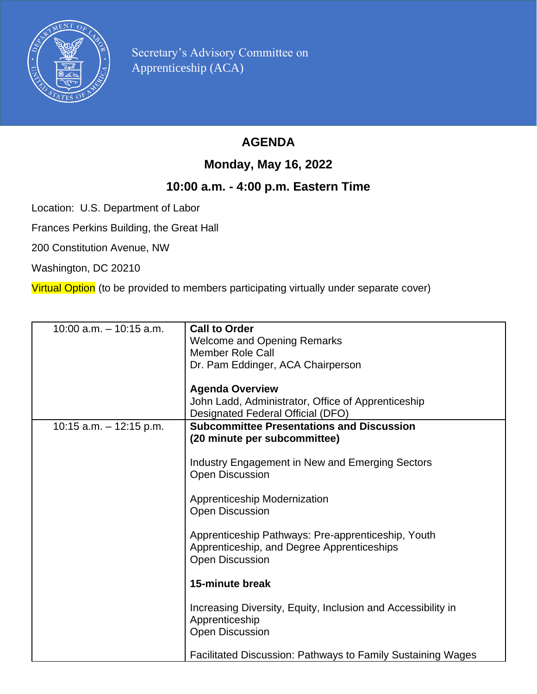

Secretary's Advisory Committee on Apprenticeship (ACA)

## **AGENDA**

## **Monday, May 16, 2022**

## **10:00 a.m. - 4:00 p.m. Eastern Time**

Location: U.S. Department of Labor

Frances Perkins Building, the Great Hall

200 Constitution Avenue, NW

Washington, DC 20210

Virtual Option (to be provided to members participating virtually under separate cover)

| $10:00$ a.m. $-10:15$ a.m. | <b>Call to Order</b>                                               |
|----------------------------|--------------------------------------------------------------------|
|                            | <b>Welcome and Opening Remarks</b>                                 |
|                            | <b>Member Role Call</b>                                            |
|                            | Dr. Pam Eddinger, ACA Chairperson                                  |
|                            |                                                                    |
|                            | <b>Agenda Overview</b>                                             |
|                            | John Ladd, Administrator, Office of Apprenticeship                 |
|                            | Designated Federal Official (DFO)                                  |
| 10:15 a.m. $-$ 12:15 p.m.  | <b>Subcommittee Presentations and Discussion</b>                   |
|                            | (20 minute per subcommittee)                                       |
|                            |                                                                    |
|                            |                                                                    |
|                            | Industry Engagement in New and Emerging Sectors                    |
|                            | <b>Open Discussion</b>                                             |
|                            |                                                                    |
|                            | Apprenticeship Modernization                                       |
|                            | <b>Open Discussion</b>                                             |
|                            |                                                                    |
|                            | Apprenticeship Pathways: Pre-apprenticeship, Youth                 |
|                            | Apprenticeship, and Degree Apprenticeships                         |
|                            | <b>Open Discussion</b>                                             |
|                            |                                                                    |
|                            | 15-minute break                                                    |
|                            |                                                                    |
|                            | Increasing Diversity, Equity, Inclusion and Accessibility in       |
|                            | Apprenticeship                                                     |
|                            | <b>Open Discussion</b>                                             |
|                            |                                                                    |
|                            | <b>Facilitated Discussion: Pathways to Family Sustaining Wages</b> |